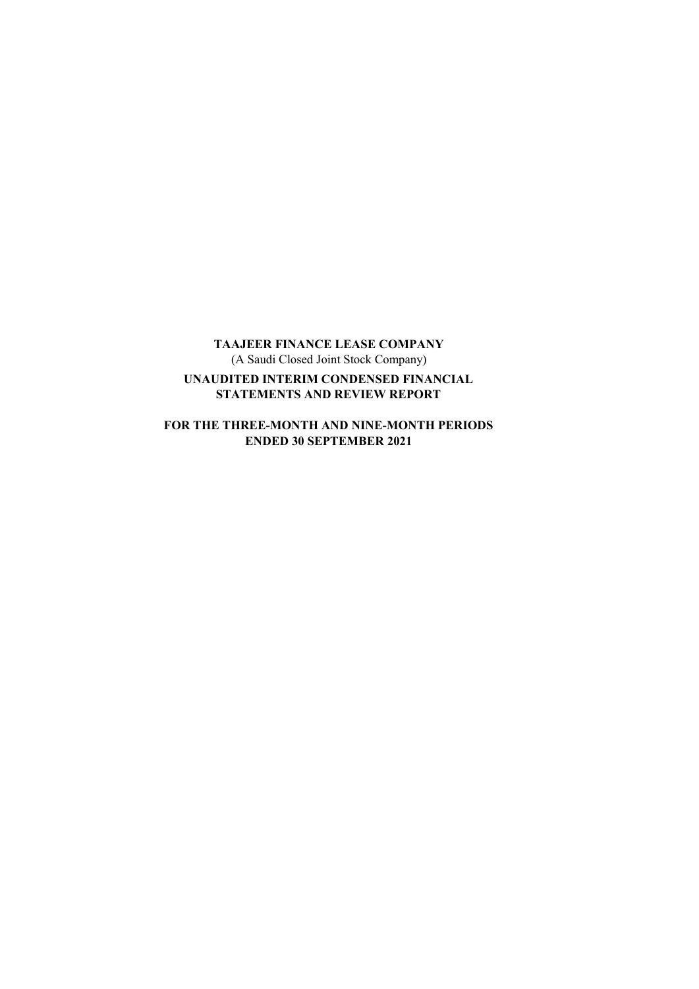**TAAJEER FINANCE LEASE COMPANY** (A Saudi Closed Joint Stock Company) **UNAUDITED INTERIM CONDENSED FINANCIAL STATEMENTS AND REVIEW REPORT** 

**FOR THE THREE-MONTH AND NINE-MONTH PERIODS ENDED 30 SEPTEMBER 2021**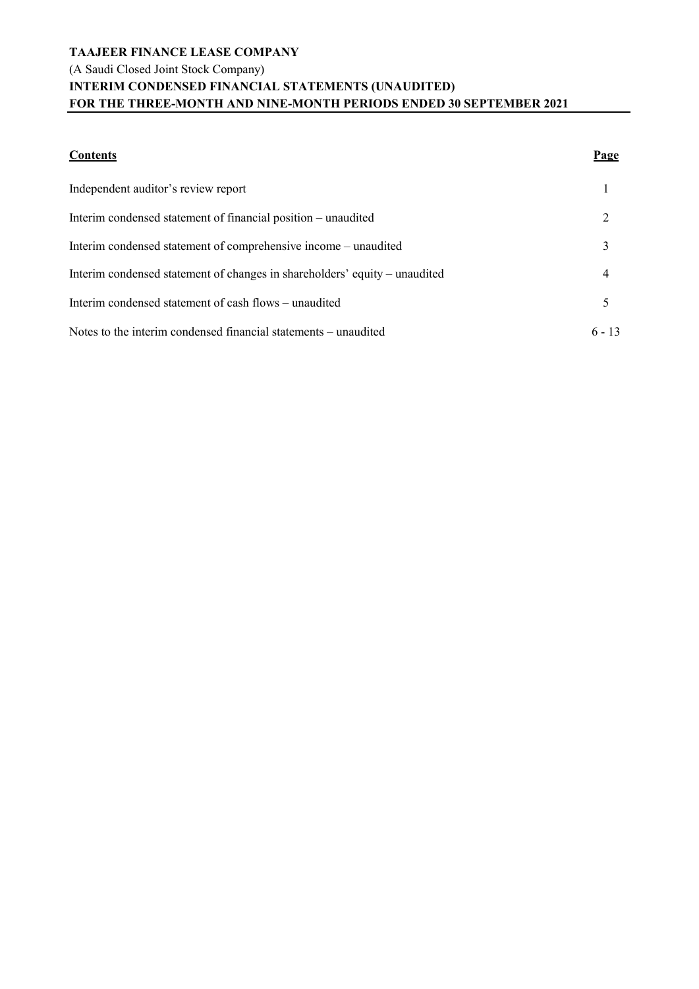# **TAAJEER FINANCE LEASE COMPANY** (A Saudi Closed Joint Stock Company) **INTERIM CONDENSED FINANCIAL STATEMENTS (UNAUDITED) FOR THE THREE-MONTH AND NINE-MONTH PERIODS ENDED 30 SEPTEMBER 2021**

| <b>Contents</b>                                                            | Page     |
|----------------------------------------------------------------------------|----------|
| Independent auditor's review report                                        |          |
| Interim condensed statement of financial position – unaudited              |          |
| Interim condensed statement of comprehensive income - unaudited            | 3        |
| Interim condensed statement of changes in shareholders' equity – unaudited | 4        |
| Interim condensed statement of cash flows – unaudited                      | 5        |
| Notes to the interim condensed financial statements – unaudited            | $6 - 13$ |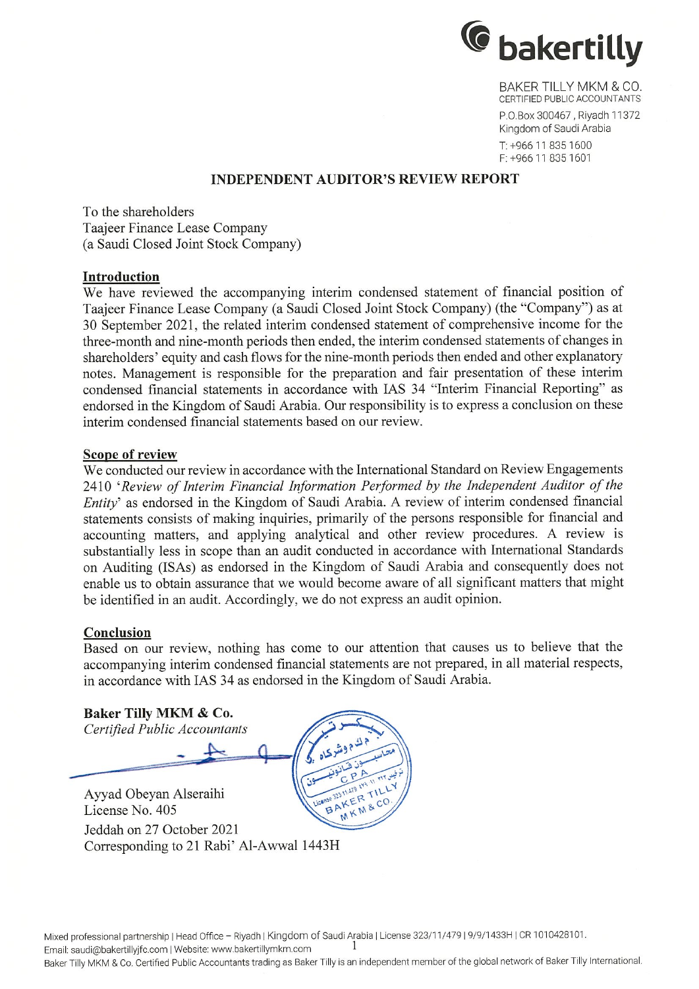

BAKER TILLY MKM & CO. CERTIFIED PUBLIC ACCOUNTANTS P.O.Box 300467, Riyadh 11372

Kingdom of Saudi Arabia T: +966 11 835 1600 F: +966 11 835 1601

# **INDEPENDENT AUDITOR'S REVIEW REPORT**

To the shareholders Taajeer Finance Lease Company (a Saudi Closed Joint Stock Company)

#### Introduction

We have reviewed the accompanying interim condensed statement of financial position of Taaieer Finance Lease Company (a Saudi Closed Joint Stock Company) (the "Company") as at 30 September 2021, the related interim condensed statement of comprehensive income for the three-month and nine-month periods then ended, the interim condensed statements of changes in shareholders' equity and cash flows for the nine-month periods then ended and other explanatory notes. Management is responsible for the preparation and fair presentation of these interim condensed financial statements in accordance with IAS 34 "Interim Financial Reporting" as endorsed in the Kingdom of Saudi Arabia. Our responsibility is to express a conclusion on these interim condensed financial statements based on our review.

# Scope of review

We conducted our review in accordance with the International Standard on Review Engagements 2410 'Review of Interim Financial Information Performed by the Independent Auditor of the Entity' as endorsed in the Kingdom of Saudi Arabia. A review of interim condensed financial statements consists of making inquiries, primarily of the persons responsible for financial and accounting matters, and applying analytical and other review procedures. A review is substantially less in scope than an audit conducted in accordance with International Standards on Auditing (ISAs) as endorsed in the Kingdom of Saudi Arabia and consequently does not enable us to obtain assurance that we would become aware of all significant matters that might be identified in an audit. Accordingly, we do not express an audit opinion.

#### Conclusion

Based on our review, nothing has come to our attention that causes us to believe that the accompanying interim condensed financial statements are not prepared, in all material respects, in accordance with IAS 34 as endorsed in the Kingdom of Saudi Arabia.

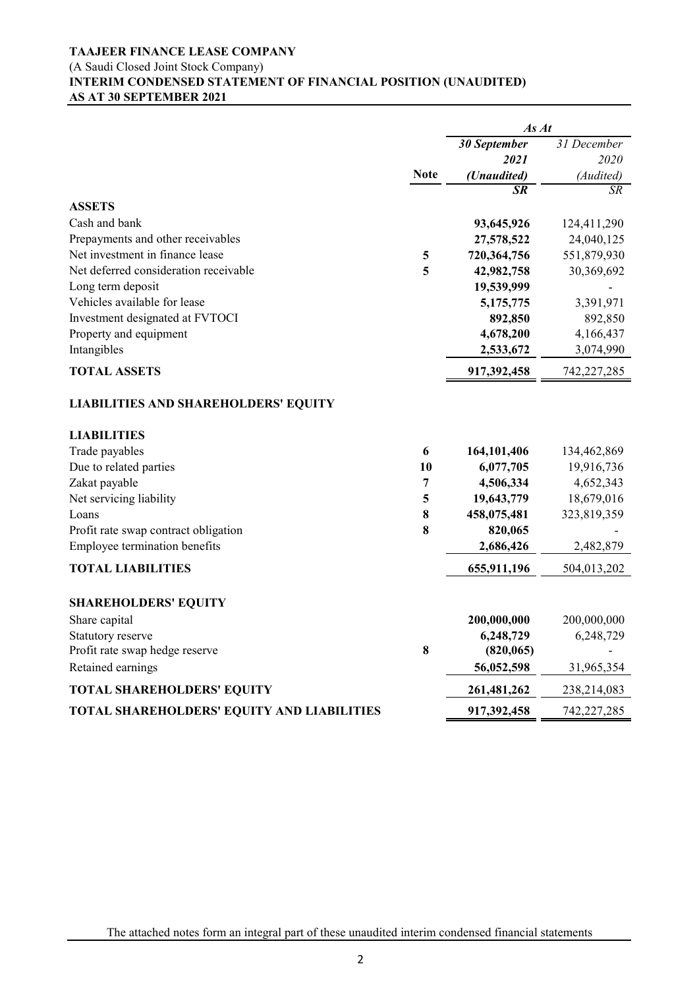### (A Saudi Closed Joint Stock Company)

# **INTERIM CONDENSED STATEMENT OF FINANCIAL POSITION (UNAUDITED) AS AT 30 SEPTEMBER 2021**

|                                                                   |                | As At        |             |
|-------------------------------------------------------------------|----------------|--------------|-------------|
|                                                                   |                | 30 September | 31 December |
|                                                                   |                | 2021         | 2020        |
|                                                                   | <b>Note</b>    | (Unaudited)  | (Audited)   |
|                                                                   |                | SR           | SR          |
| <b>ASSETS</b>                                                     |                |              |             |
| Cash and bank                                                     |                | 93,645,926   | 124,411,290 |
| Prepayments and other receivables                                 |                | 27,578,522   | 24,040,125  |
| Net investment in finance lease                                   | 5              | 720,364,756  | 551,879,930 |
| Net deferred consideration receivable                             | 5              | 42,982,758   | 30,369,692  |
| Long term deposit                                                 |                | 19,539,999   |             |
| Vehicles available for lease                                      |                | 5,175,775    | 3,391,971   |
| Investment designated at FVTOCI                                   |                | 892,850      | 892,850     |
| Property and equipment                                            |                | 4,678,200    | 4,166,437   |
| Intangibles                                                       |                | 2,533,672    | 3,074,990   |
| <b>TOTAL ASSETS</b>                                               |                | 917,392,458  | 742,227,285 |
| <b>LIABILITIES AND SHAREHOLDERS' EQUITY</b><br><b>LIABILITIES</b> |                |              |             |
| Trade payables                                                    | 6              | 164,101,406  | 134,462,869 |
| Due to related parties                                            | 10             | 6,077,705    | 19,916,736  |
| Zakat payable                                                     | $\overline{7}$ | 4,506,334    | 4,652,343   |
| Net servicing liability                                           | 5              | 19,643,779   | 18,679,016  |
| Loans                                                             | 8              | 458,075,481  | 323,819,359 |
| Profit rate swap contract obligation                              | 8              | 820,065      |             |
| Employee termination benefits                                     |                | 2,686,426    | 2,482,879   |
| <b>TOTAL LIABILITIES</b>                                          |                | 655,911,196  | 504,013,202 |
| <b>SHAREHOLDERS' EQUITY</b>                                       |                |              |             |
| Share capital                                                     |                | 200,000,000  | 200,000,000 |
| Statutory reserve                                                 |                | 6,248,729    | 6,248,729   |
| Profit rate swap hedge reserve                                    | 8              | (820, 065)   |             |
| Retained earnings                                                 |                | 56,052,598   | 31,965,354  |
| <b>TOTAL SHAREHOLDERS' EQUITY</b>                                 |                | 261,481,262  | 238,214,083 |
| TOTAL SHAREHOLDERS' EQUITY AND LIABILITIES                        |                | 917,392,458  | 742,227,285 |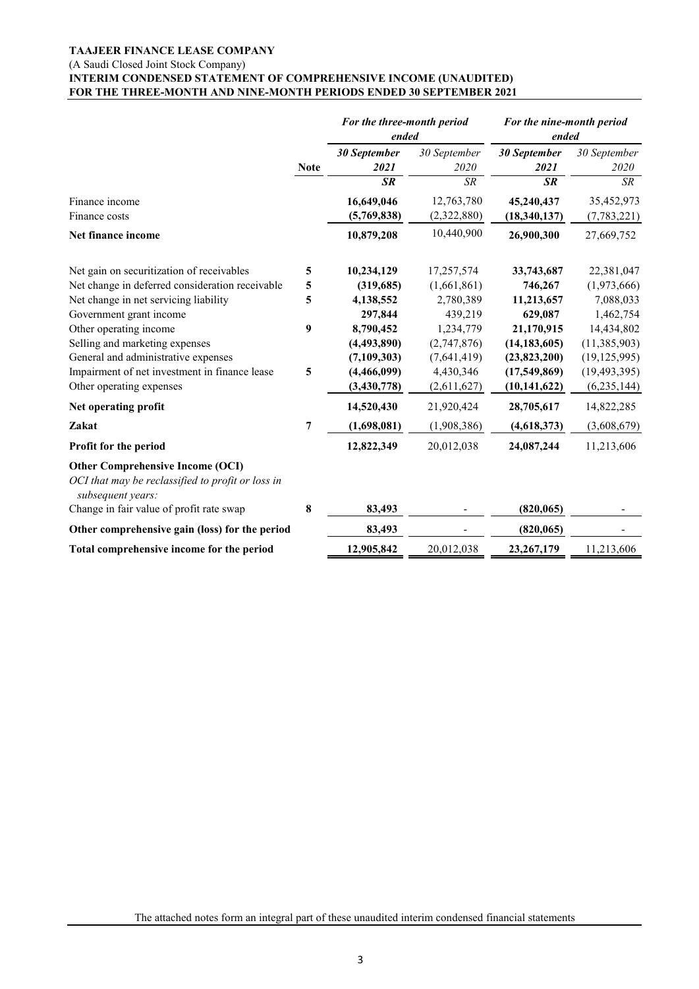#### **TAAJEER FINANCE LEASE COMPANY** (A Saudi Closed Joint Stock Company) **INTERIM CONDENSED STATEMENT OF COMPREHENSIVE INCOME (UNAUDITED) FOR THE THREE-MONTH AND NINE-MONTH PERIODS ENDED 30 SEPTEMBER 2021**

|                                                                                                                   |             | For the three-month period<br>ended |                      | For the nine-month period<br>ended |                      |
|-------------------------------------------------------------------------------------------------------------------|-------------|-------------------------------------|----------------------|------------------------------------|----------------------|
|                                                                                                                   | <b>Note</b> | 30 September<br>2021                | 30 September<br>2020 | 30 September<br>2021               | 30 September<br>2020 |
|                                                                                                                   |             | <b>SR</b>                           | <b>SR</b>            | <b>SR</b>                          | SR                   |
| Finance income                                                                                                    |             | 16,649,046                          | 12,763,780           | 45,240,437                         | 35,452,973           |
| Finance costs                                                                                                     |             | (5,769,838)                         | (2,322,880)          | (18, 340, 137)                     | (7,783,221)          |
| Net finance income                                                                                                |             | 10,879,208                          | 10,440,900           | 26,900,300                         | 27,669,752           |
| Net gain on securitization of receivables                                                                         | 5           | 10,234,129                          | 17,257,574           | 33,743,687                         | 22,381,047           |
| Net change in deferred consideration receivable                                                                   | 5           | (319,685)                           | (1,661,861)          | 746,267                            | (1,973,666)          |
| Net change in net servicing liability                                                                             | 5           | 4,138,552                           | 2,780,389            | 11,213,657                         | 7,088,033            |
| Government grant income                                                                                           |             | 297,844                             | 439,219              | 629,087                            | 1,462,754            |
| Other operating income                                                                                            | 9           | 8,790,452                           | 1,234,779            | 21,170,915                         | 14,434,802           |
| Selling and marketing expenses                                                                                    |             | (4, 493, 890)                       | (2,747,876)          | (14, 183, 605)                     | (11, 385, 903)       |
| General and administrative expenses                                                                               |             | (7, 109, 303)                       | (7,641,419)          | (23,823,200)                       | (19, 125, 995)       |
| Impairment of net investment in finance lease                                                                     | 5           | (4,466,099)                         | 4,430,346            | (17,549,869)                       | (19, 493, 395)       |
| Other operating expenses                                                                                          |             | (3, 430, 778)                       | (2,611,627)          | (10, 141, 622)                     | (6, 235, 144)        |
| Net operating profit                                                                                              |             | 14,520,430                          | 21,920,424           | 28,705,617                         | 14,822,285           |
| Zakat                                                                                                             | 7           | (1,698,081)                         | (1,908,386)          | (4,618,373)                        | (3,608,679)          |
| Profit for the period                                                                                             |             | 12,822,349                          | 20,012,038           | 24,087,244                         | 11,213,606           |
| <b>Other Comprehensive Income (OCI)</b><br>OCI that may be reclassified to profit or loss in<br>subsequent years: |             |                                     |                      |                                    |                      |
| Change in fair value of profit rate swap                                                                          | 8           | 83,493                              |                      | (820, 065)                         |                      |
| Other comprehensive gain (loss) for the period                                                                    |             | 83,493                              |                      | (820, 065)                         |                      |
| Total comprehensive income for the period                                                                         |             | 12,905,842                          | 20,012,038           | 23,267,179                         | 11,213,606           |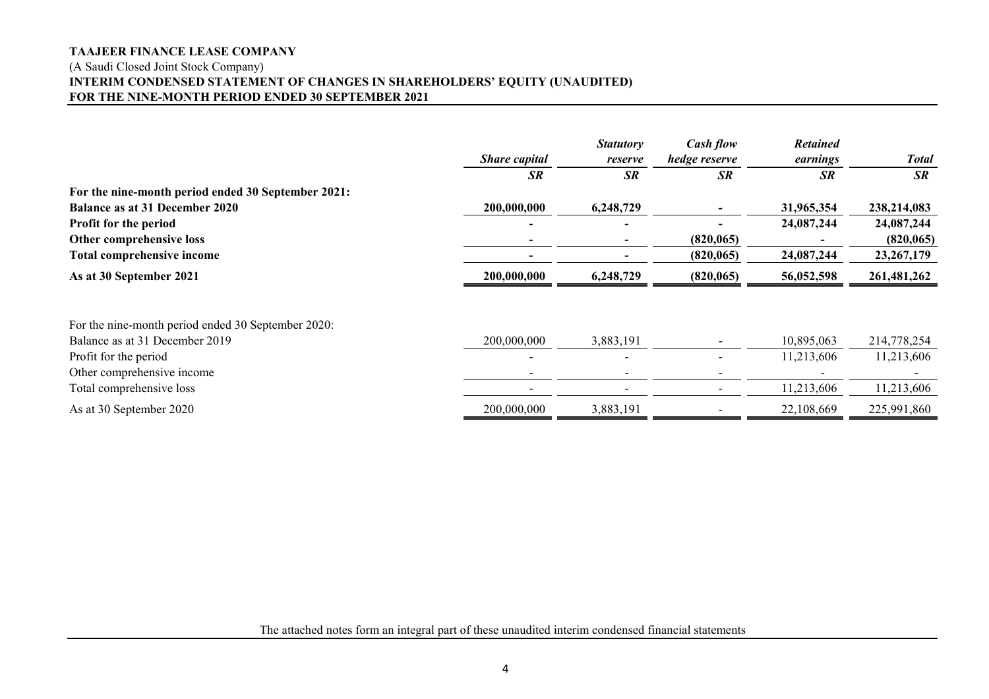# **TAAJEER FINANCE LEASE COMPANY** (A Saudi Closed Joint Stock Company) **INTERIM CONDENSED STATEMENT OF CHANGES IN SHAREHOLDERS' EQUITY (UNAUDITED) FOR THE NINE-MONTH PERIOD ENDED 30 SEPTEMBER 2021**

|                                                    | <b>Share capital</b> | <b>Statutory</b><br>reserve | Cash flow<br>hedge reserve | <b>Retained</b><br>earnings | <b>Total</b> |
|----------------------------------------------------|----------------------|-----------------------------|----------------------------|-----------------------------|--------------|
|                                                    | <b>SR</b>            | <b>SR</b>                   | <b>SR</b>                  | <b>SR</b>                   | <b>SR</b>    |
| For the nine-month period ended 30 September 2021: |                      |                             |                            |                             |              |
| <b>Balance as at 31 December 2020</b>              | 200,000,000          | 6,248,729                   |                            | 31,965,354                  | 238,214,083  |
| Profit for the period                              |                      |                             |                            | 24,087,244                  | 24,087,244   |
| Other comprehensive loss                           |                      |                             | (820, 065)                 |                             | (820, 065)   |
| Total comprehensive income                         |                      |                             | (820, 065)                 | 24,087,244                  | 23, 267, 179 |
| As at 30 September 2021                            | 200,000,000          | 6,248,729                   | (820, 065)                 | 56,052,598                  | 261,481,262  |
|                                                    |                      |                             |                            |                             |              |
| For the nine-month period ended 30 September 2020: |                      |                             |                            |                             |              |
| Balance as at 31 December 2019                     | 200,000,000          | 3,883,191                   |                            | 10,895,063                  | 214,778,254  |
| Profit for the period                              |                      |                             |                            | 11,213,606                  | 11,213,606   |
| Other comprehensive income                         |                      |                             |                            |                             |              |
| Total comprehensive loss                           |                      |                             |                            | 11,213,606                  | 11,213,606   |
| As at 30 September 2020                            | 200,000,000          | 3,883,191                   |                            | 22,108,669                  | 225,991,860  |

The attached notes form an integral part of these unaudited interim condensed financial statements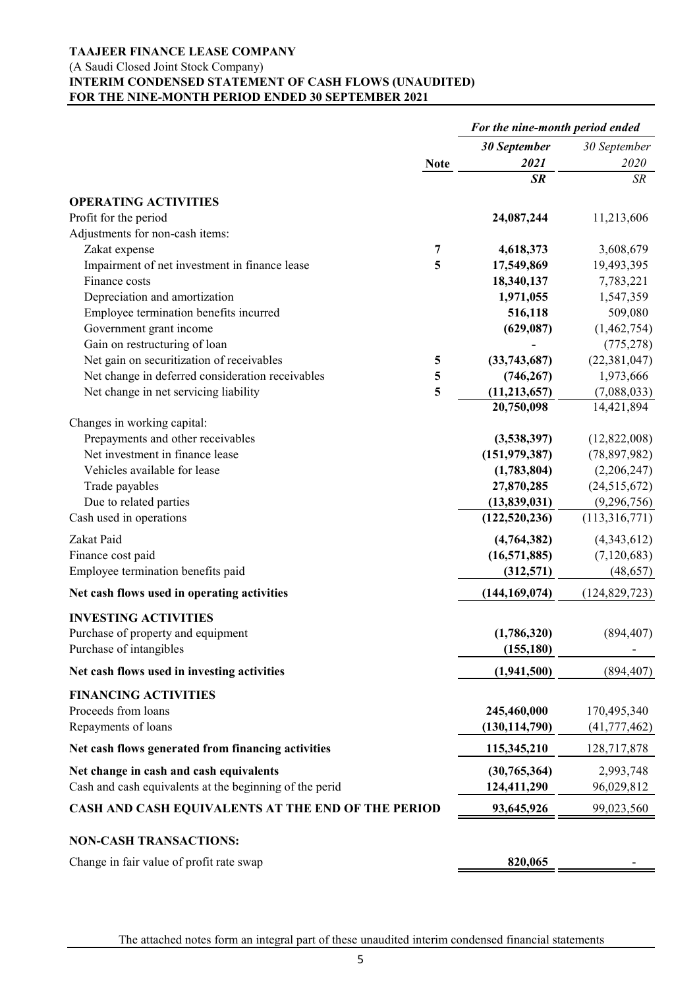#### (A Saudi Closed Joint Stock Company)

# **INTERIM CONDENSED STATEMENT OF CASH FLOWS (UNAUDITED) FOR THE NINE-MONTH PERIOD ENDED 30 SEPTEMBER 2021**

|                                                         | For the nine-month period ended |                 |                 |  |
|---------------------------------------------------------|---------------------------------|-----------------|-----------------|--|
|                                                         | <b>Note</b>                     | 30 September    | 30 September    |  |
|                                                         |                                 | 2021            | 2020            |  |
|                                                         |                                 | <b>SR</b>       | <b>SR</b>       |  |
| <b>OPERATING ACTIVITIES</b>                             |                                 |                 |                 |  |
| Profit for the period                                   |                                 | 24,087,244      | 11,213,606      |  |
| Adjustments for non-cash items:                         |                                 |                 |                 |  |
| Zakat expense                                           | 7                               | 4,618,373       | 3,608,679       |  |
| Impairment of net investment in finance lease           | 5                               | 17,549,869      | 19,493,395      |  |
| Finance costs                                           |                                 | 18,340,137      | 7,783,221       |  |
| Depreciation and amortization                           |                                 | 1,971,055       | 1,547,359       |  |
| Employee termination benefits incurred                  |                                 | 516,118         | 509,080         |  |
| Government grant income                                 |                                 | (629, 087)      | (1,462,754)     |  |
| Gain on restructuring of loan                           |                                 |                 | (775, 278)      |  |
| Net gain on securitization of receivables               | 5                               | (33,743,687)    | (22, 381, 047)  |  |
| Net change in deferred consideration receivables        | 5                               | (746, 267)      | 1,973,666       |  |
| Net change in net servicing liability                   | 5                               | (11, 213, 657)  | (7,088,033)     |  |
|                                                         |                                 | 20,750,098      | 14,421,894      |  |
| Changes in working capital:                             |                                 |                 |                 |  |
| Prepayments and other receivables                       |                                 | (3,538,397)     | (12,822,008)    |  |
| Net investment in finance lease                         |                                 | (151, 979, 387) | (78,897,982)    |  |
| Vehicles available for lease                            |                                 | (1,783,804)     | (2,206,247)     |  |
| Trade payables                                          |                                 | 27,870,285      | (24,515,672)    |  |
| Due to related parties                                  |                                 | (13,839,031)    | (9,296,756)     |  |
| Cash used in operations                                 |                                 | (122, 520, 236) | (113,316,771)   |  |
| Zakat Paid                                              |                                 | (4,764,382)     | (4,343,612)     |  |
| Finance cost paid                                       |                                 | (16,571,885)    | (7,120,683)     |  |
| Employee termination benefits paid                      |                                 | (312,571)       | (48, 657)       |  |
| Net cash flows used in operating activities             |                                 | (144, 169, 074) | (124, 829, 723) |  |
| <b>INVESTING ACTIVITIES</b>                             |                                 |                 |                 |  |
| Purchase of property and equipment                      |                                 | (1,786,320)     | (894, 407)      |  |
| Purchase of intangibles                                 |                                 | (155, 180)      |                 |  |
| Net cash flows used in investing activities             |                                 | (1,941,500)     | (894, 407)      |  |
|                                                         |                                 |                 |                 |  |
| <b>FINANCING ACTIVITIES</b>                             |                                 |                 |                 |  |
| Proceeds from loans                                     |                                 | 245,460,000     | 170,495,340     |  |
| Repayments of loans                                     |                                 | (130, 114, 790) | (41, 777, 462)  |  |
| Net cash flows generated from financing activities      |                                 | 115,345,210     | 128,717,878     |  |
| Net change in cash and cash equivalents                 |                                 | (30,765,364)    | 2,993,748       |  |
| Cash and cash equivalents at the beginning of the perid |                                 | 124,411,290     | 96,029,812      |  |
| CASH AND CASH EQUIVALENTS AT THE END OF THE PERIOD      |                                 | 93,645,926      | 99,023,560      |  |
| <b>NON-CASH TRANSACTIONS:</b>                           |                                 |                 |                 |  |
| Change in fair value of profit rate swap                |                                 | 820,065         |                 |  |
|                                                         |                                 |                 |                 |  |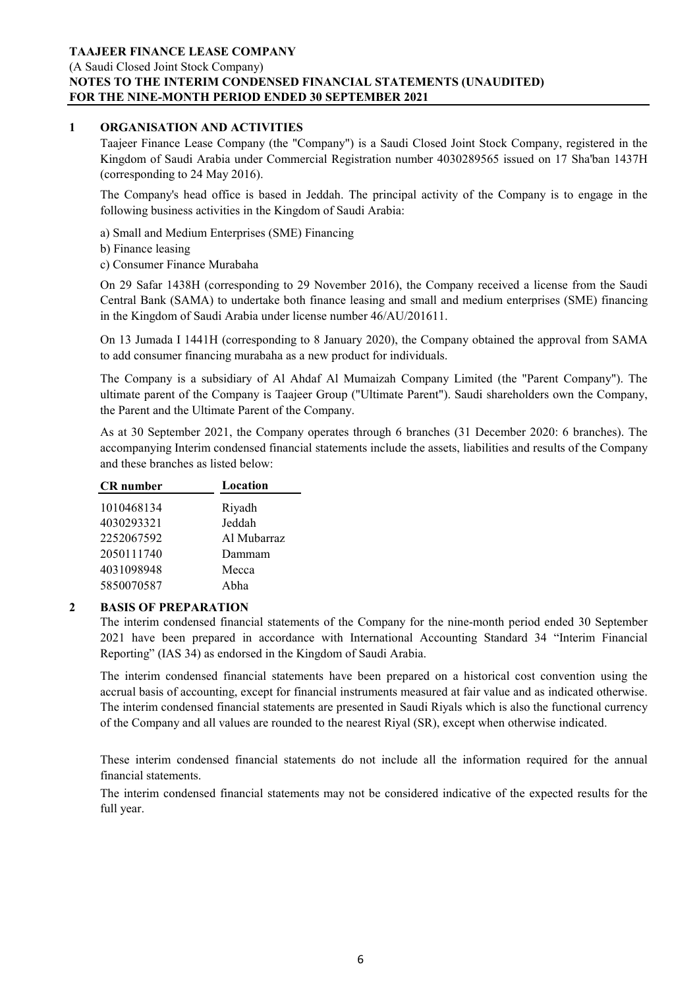# (A Saudi Closed Joint Stock Company) **NOTES TO THE INTERIM CONDENSED FINANCIAL STATEMENTS (UNAUDITED) FOR THE NINE-MONTH PERIOD ENDED 30 SEPTEMBER 2021**

## **1 ORGANISATION AND ACTIVITIES**

Taajeer Finance Lease Company (the "Company") is a Saudi Closed Joint Stock Company, registered in the Kingdom of Saudi Arabia under Commercial Registration number 4030289565 issued on 17 Sha'ban 1437H (corresponding to 24 May 2016).

The Company's head office is based in Jeddah. The principal activity of the Company is to engage in the following business activities in the Kingdom of Saudi Arabia:

a) Small and Medium Enterprises (SME) Financing

b) Finance leasing

c) Consumer Finance Murabaha

On 29 Safar 1438H (corresponding to 29 November 2016), the Company received a license from the Saudi Central Bank (SAMA) to undertake both finance leasing and small and medium enterprises (SME) financing in the Kingdom of Saudi Arabia under license number 46/AU/201611.

On 13 Jumada I 1441H (corresponding to 8 January 2020), the Company obtained the approval from SAMA to add consumer financing murabaha as a new product for individuals.

The Company is a subsidiary of Al Ahdaf Al Mumaizah Company Limited (the "Parent Company"). The ultimate parent of the Company is Taajeer Group ("Ultimate Parent"). Saudi shareholders own the Company, the Parent and the Ultimate Parent of the Company.

As at 30 September 2021, the Company operates through 6 branches (31 December 2020: 6 branches). The accompanying Interim condensed financial statements include the assets, liabilities and results of the Company and these branches as listed below:

| <b>CR</b> number | Location    |
|------------------|-------------|
| 1010468134       | Riyadh      |
| 4030293321       | Jeddah      |
| 2252067592       | Al Mubarraz |
| 2050111740       | Dammam      |
| 4031098948       | Mecca       |
| 5850070587       | Abha        |

# **2 BASIS OF PREPARATION**

The interim condensed financial statements of the Company for the nine-month period ended 30 September 2021 have been prepared in accordance with International Accounting Standard 34 "Interim Financial Reporting" (IAS 34) as endorsed in the Kingdom of Saudi Arabia.

The interim condensed financial statements have been prepared on a historical cost convention using the accrual basis of accounting, except for financial instruments measured at fair value and as indicated otherwise. The interim condensed financial statements are presented in Saudi Riyals which is also the functional currency of the Company and all values are rounded to the nearest Riyal (SR), except when otherwise indicated.

These interim condensed financial statements do not include all the information required for the annual financial statements.

The interim condensed financial statements may not be considered indicative of the expected results for the full year.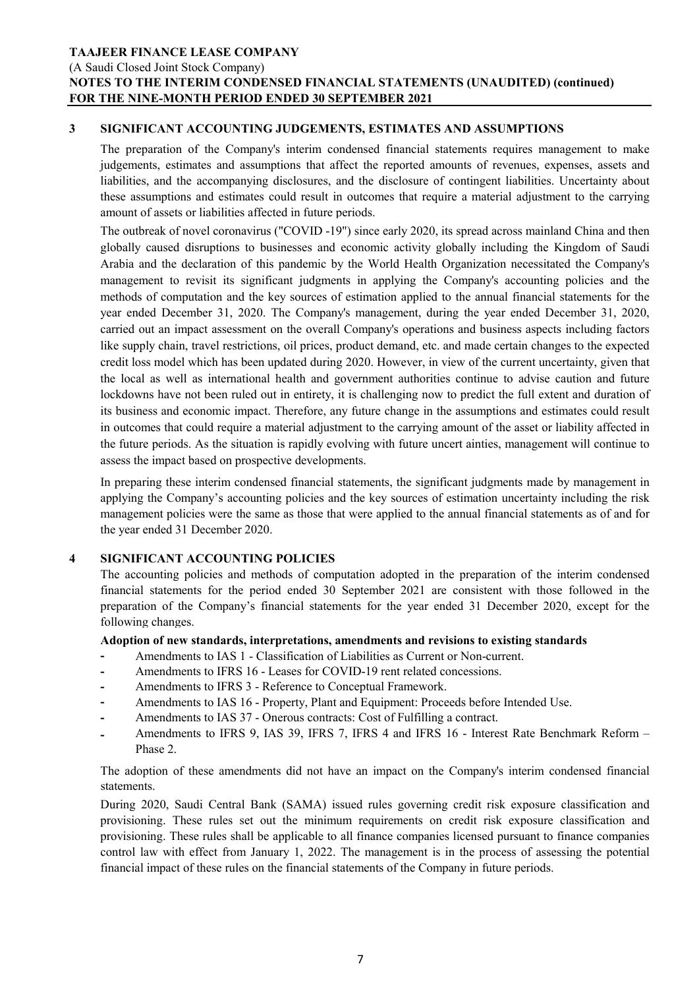(A Saudi Closed Joint Stock Company)

# **NOTES TO THE INTERIM CONDENSED FINANCIAL STATEMENTS (UNAUDITED) (continued) FOR THE NINE-MONTH PERIOD ENDED 30 SEPTEMBER 2021**

# **3 SIGNIFICANT ACCOUNTING JUDGEMENTS, ESTIMATES AND ASSUMPTIONS**

The preparation of the Company's interim condensed financial statements requires management to make judgements, estimates and assumptions that affect the reported amounts of revenues, expenses, assets and liabilities, and the accompanying disclosures, and the disclosure of contingent liabilities. Uncertainty about these assumptions and estimates could result in outcomes that require a material adjustment to the carrying amount of assets or liabilities affected in future periods.

The outbreak of novel coronavirus ("COVID -19") since early 2020, its spread across mainland China and then globally caused disruptions to businesses and economic activity globally including the Kingdom of Saudi Arabia and the declaration of this pandemic by the World Health Organization necessitated the Company's management to revisit its significant judgments in applying the Company's accounting policies and the methods of computation and the key sources of estimation applied to the annual financial statements for the year ended December 31, 2020. The Company's management, during the year ended December 31, 2020, carried out an impact assessment on the overall Company's operations and business aspects including factors like supply chain, travel restrictions, oil prices, product demand, etc. and made certain changes to the expected credit loss model which has been updated during 2020. However, in view of the current uncertainty, given that the local as well as international health and government authorities continue to advise caution and future lockdowns have not been ruled out in entirety, it is challenging now to predict the full extent and duration of its business and economic impact. Therefore, any future change in the assumptions and estimates could result in outcomes that could require a material adjustment to the carrying amount of the asset or liability affected in the future periods. As the situation is rapidly evolving with future uncert ainties, management will continue to assess the impact based on prospective developments.

In preparing these interim condensed financial statements, the significant judgments made by management in applying the Company's accounting policies and the key sources of estimation uncertainty including the risk management policies were the same as those that were applied to the annual financial statements as of and for the year ended 31 December 2020.

# **4 SIGNIFICANT ACCOUNTING POLICIES**

The accounting policies and methods of computation adopted in the preparation of the interim condensed financial statements for the period ended 30 September 2021 are consistent with those followed in the preparation of the Company's financial statements for the year ended 31 December 2020, except for the following changes.

# **Adoption of new standards, interpretations, amendments and revisions to existing standards**

- **-** Amendments to IAS 1 Classification of Liabilities as Current or Non-current.
- **-** Amendments to IFRS 16 Leases for COVID-19 rent related concessions.
- **-** Amendments to IFRS 3 Reference to Conceptual Framework.
- **-** Amendments to IAS 16 Property, Plant and Equipment: Proceeds before Intended Use.
- **-** Amendments to IAS 37 Onerous contracts: Cost of Fulfilling a contract.
- **-** Amendments to IFRS 9, IAS 39, IFRS 7, IFRS 4 and IFRS 16 - Interest Rate Benchmark Reform – Phase 2.

The adoption of these amendments did not have an impact on the Company's interim condensed financial statements.

During 2020, Saudi Central Bank (SAMA) issued rules governing credit risk exposure classification and provisioning. These rules set out the minimum requirements on credit risk exposure classification and provisioning. These rules shall be applicable to all finance companies licensed pursuant to finance companies control law with effect from January 1, 2022. The management is in the process of assessing the potential financial impact of these rules on the financial statements of the Company in future periods.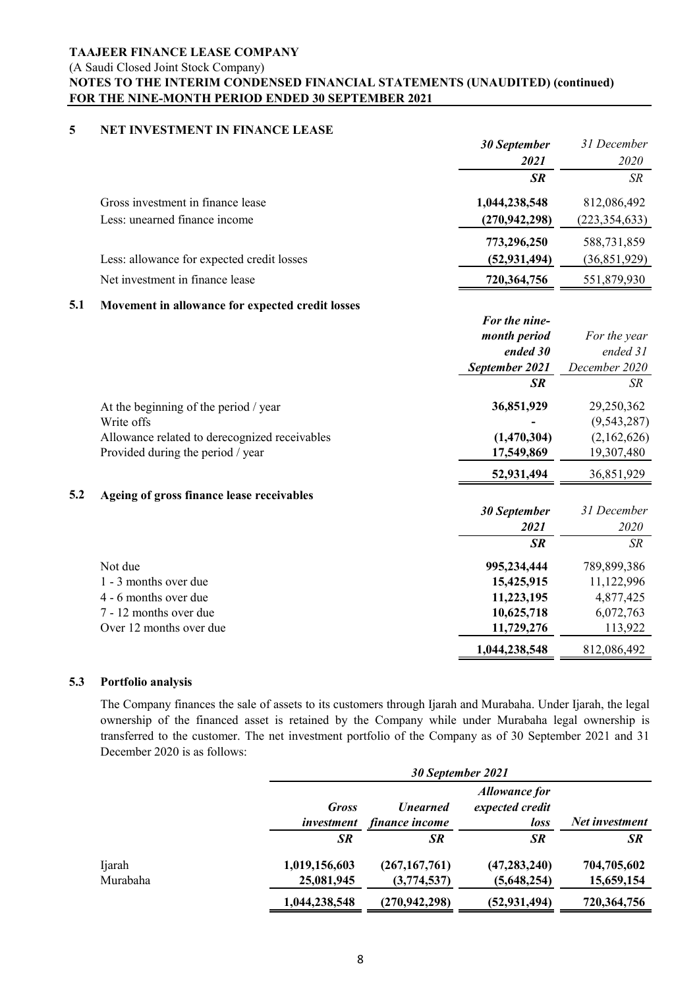(A Saudi Closed Joint Stock Company)

# **NOTES TO THE INTERIM CONDENSED FINANCIAL STATEMENTS (UNAUDITED) (continued) FOR THE NINE-MONTH PERIOD ENDED 30 SEPTEMBER 2021**

# **5 NET INVESTMENT IN FINANCE LEASE**

|     |                                                  | 30 September        | 31 December     |
|-----|--------------------------------------------------|---------------------|-----------------|
|     |                                                  | 2021                | 2020            |
|     |                                                  | <b>SR</b>           | <b>SR</b>       |
|     | Gross investment in finance lease                | 1,044,238,548       | 812,086,492     |
|     | Less: unearned finance income                    | (270, 942, 298)     | (223, 354, 633) |
|     |                                                  | 773,296,250         | 588,731,859     |
|     | Less: allowance for expected credit losses       | (52, 931, 494)      | (36,851,929)    |
|     | Net investment in finance lease                  | 720,364,756         | 551,879,930     |
| 5.1 | Movement in allowance for expected credit losses |                     |                 |
|     |                                                  | For the nine-       |                 |
|     |                                                  | month period        | For the year    |
|     |                                                  | ended 30            | ended 31        |
|     |                                                  | September 2021      | December 2020   |
|     |                                                  | <b>SR</b>           | <b>SR</b>       |
|     | At the beginning of the period / year            | 36,851,929          | 29,250,362      |
|     | Write offs                                       |                     | (9, 543, 287)   |
|     | Allowance related to derecognized receivables    | (1,470,304)         | (2,162,626)     |
|     | Provided during the period / year                | 17,549,869          | 19,307,480      |
|     |                                                  | 52,931,494          | 36,851,929      |
| 5.2 | Ageing of gross finance lease receivables        |                     |                 |
|     |                                                  | <b>30 September</b> | 31 December     |
|     |                                                  | 2021                | 2020            |
|     |                                                  | <b>SR</b>           | <b>SR</b>       |
|     | Not due                                          | 995,234,444         | 789,899,386     |
|     | 1 - 3 months over due                            | 15,425,915          | 11,122,996      |
|     | 4 - 6 months over due                            | 11,223,195          | 4,877,425       |
|     | 7 - 12 months over due                           | 10,625,718          | 6,072,763       |
|     | Over 12 months over due                          | 11,729,276          | 113,922         |
|     |                                                  | 1,044,238,548       | 812,086,492     |

### **5.3 Portfolio analysis**

The Company finances the sale of assets to its customers through Ijarah and Murabaha. Under Ijarah, the legal ownership of the financed asset is retained by the Company while under Murabaha legal ownership is transferred to the customer. The net investment portfolio of the Company as of 30 September 2021 and 31 December 2020 is as follows:

|                    |                                   | 30 September 2021                               |                                                 |                           |  |
|--------------------|-----------------------------------|-------------------------------------------------|-------------------------------------------------|---------------------------|--|
|                    | <b>Gross</b><br><i>investment</i> | <b><i><u>Unearned</u></i></b><br>finance income | <b>Allowance for</b><br>expected credit<br>loss | Net investment            |  |
|                    | <b>SR</b>                         | SR                                              | <b>SR</b>                                       | <b>SR</b>                 |  |
| Ijarah<br>Murabaha | 1,019,156,603<br>25,081,945       | (267, 167, 761)<br>(3,774,537)                  | (47, 283, 240)<br>(5,648,254)                   | 704,705,602<br>15,659,154 |  |
|                    | 1,044,238,548                     | (270, 942, 298)                                 | (52, 931, 494)                                  | 720,364,756               |  |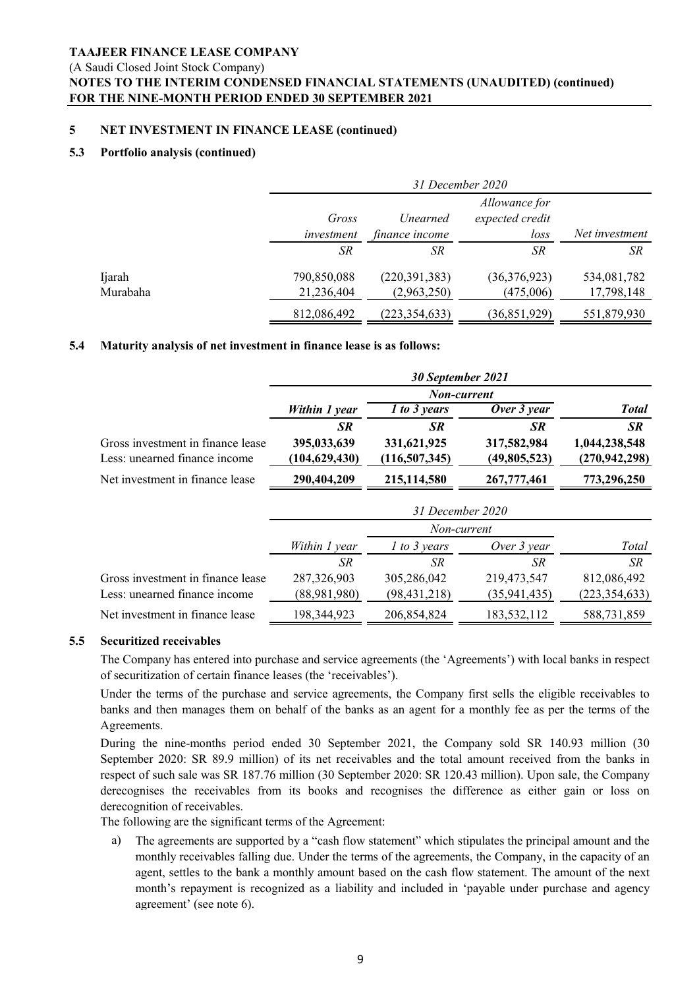(A Saudi Closed Joint Stock Company)

# **NOTES TO THE INTERIM CONDENSED FINANCIAL STATEMENTS (UNAUDITED) (continued) FOR THE NINE-MONTH PERIOD ENDED 30 SEPTEMBER 2021**

#### **5 NET INVESTMENT IN FINANCE LEASE (continued)**

#### **5.3 Portfolio analysis (continued)**

|                    |                           | 31 December 2020                  |                                          |                           |  |
|--------------------|---------------------------|-----------------------------------|------------------------------------------|---------------------------|--|
|                    | Gross<br>investment       | <i>Unearned</i><br>finance income | Allowance for<br>expected credit<br>loss | Net investment            |  |
|                    | SR                        | SR                                | <b>SR</b>                                | SR                        |  |
| Ijarah<br>Murabaha | 790,850,088<br>21,236,404 | (220, 391, 383)<br>(2,963,250)    | (36,376,923)<br>(475,006)                | 534,081,782<br>17,798,148 |  |
|                    | 812,086,492               | (223, 354, 633)                   | (36, 851, 929)                           | 551,879,930               |  |

#### **5.4 Maturity analysis of net investment in finance lease is as follows:**

|                                                                    |                                | 30 September 2021              |                             |                                  |
|--------------------------------------------------------------------|--------------------------------|--------------------------------|-----------------------------|----------------------------------|
|                                                                    |                                |                                |                             |                                  |
|                                                                    | Within 1 year                  | 1 to 3 years                   | Over 3 year                 | <b>Total</b>                     |
|                                                                    | <b>SR</b>                      | SR                             | SR                          | <b>SR</b>                        |
| Gross investment in finance lease<br>Less: unearned finance income | 395,033,639<br>(104, 629, 430) | 331,621,925<br>(116, 507, 345) | 317,582,984<br>(49,805,523) | 1,044,238,548<br>(270, 942, 298) |
|                                                                    |                                |                                |                             |                                  |
| Net investment in finance lease                                    | 290,404,209                    | 215,114,580                    | 267,777,461                 | 773,296,250                      |
|                                                                    |                                | 31 December 2020               |                             |                                  |
|                                                                    |                                | Non-current                    |                             |                                  |
|                                                                    | Within 1 year                  | 1 to 3 years                   | Over 3 year                 | Total                            |
|                                                                    | SR                             | SR                             | SR                          | SR                               |
| Gross investment in finance lease                                  | 287,326,903                    | 305,286,042                    | 219,473,547                 | 812,086,492                      |
| Less: unearned finance income                                      | (88,981,980)                   | (98, 431, 218)                 | (35, 941, 435)              | (223, 354, 633)                  |
| Net investment in finance lease                                    | 198,344,923                    | 206,854,824                    | 183,532,112                 | 588,731,859                      |

# **5.5 Securitized receivables**

The Company has entered into purchase and service agreements (the 'Agreements') with local banks in respect of securitization of certain finance leases (the 'receivables').

Under the terms of the purchase and service agreements, the Company first sells the eligible receivables to banks and then manages them on behalf of the banks as an agent for a monthly fee as per the terms of the Agreements.

During the nine-months period ended 30 September 2021, the Company sold SR 140.93 million (30 September 2020: SR 89.9 million) of its net receivables and the total amount received from the banks in respect of such sale was SR 187.76 million (30 September 2020: SR 120.43 million). Upon sale, the Company derecognises the receivables from its books and recognises the difference as either gain or loss on derecognition of receivables.

The following are the significant terms of the Agreement:

a) The agreements are supported by a "cash flow statement" which stipulates the principal amount and the monthly receivables falling due. Under the terms of the agreements, the Company, in the capacity of an agent, settles to the bank a monthly amount based on the cash flow statement. The amount of the next month's repayment is recognized as a liability and included in 'payable under purchase and agency agreement' (see note 6).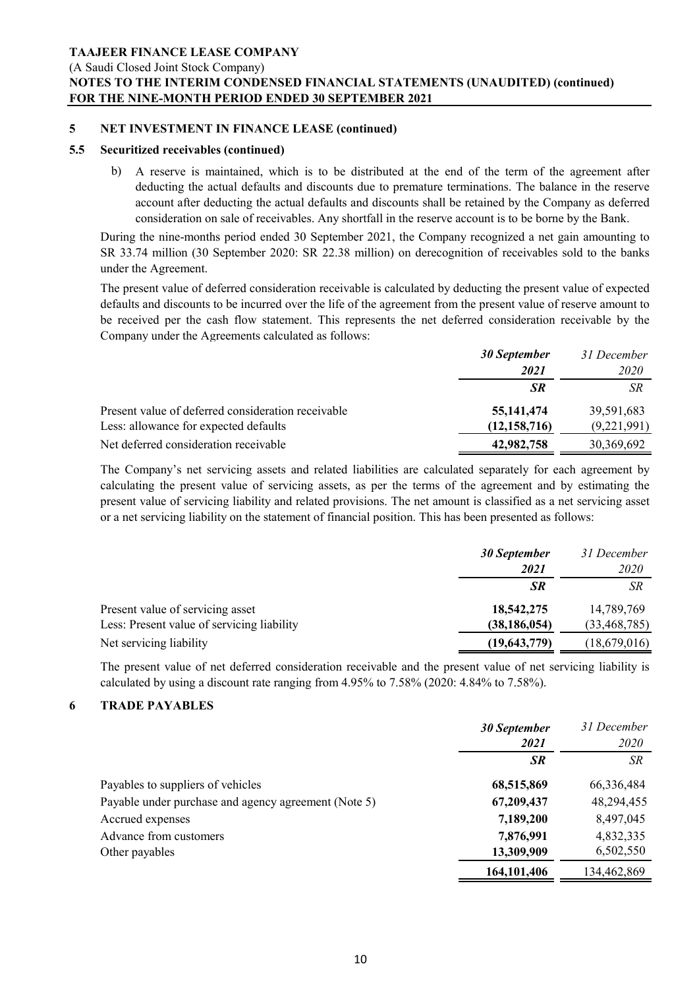(A Saudi Closed Joint Stock Company)

# **NOTES TO THE INTERIM CONDENSED FINANCIAL STATEMENTS (UNAUDITED) (continued) FOR THE NINE-MONTH PERIOD ENDED 30 SEPTEMBER 2021**

#### **5 NET INVESTMENT IN FINANCE LEASE (continued)**

#### **5.5 Securitized receivables (continued)**

b) A reserve is maintained, which is to be distributed at the end of the term of the agreement after deducting the actual defaults and discounts due to premature terminations. The balance in the reserve account after deducting the actual defaults and discounts shall be retained by the Company as deferred consideration on sale of receivables. Any shortfall in the reserve account is to be borne by the Bank.

During the nine-months period ended 30 September 2021, the Company recognized a net gain amounting to SR 33.74 million (30 September 2020: SR 22.38 million) on derecognition of receivables sold to the banks under the Agreement.

The present value of deferred consideration receivable is calculated by deducting the present value of expected defaults and discounts to be incurred over the life of the agreement from the present value of reserve amount to be received per the cash flow statement. This represents the net deferred consideration receivable by the Company under the Agreements calculated as follows:

|                                                    | <b>30 September</b> | 31 December |
|----------------------------------------------------|---------------------|-------------|
|                                                    | 2021                | 2020        |
|                                                    | <b>SR</b>           | <b>SR</b>   |
| Present value of deferred consideration receivable | 55, 141, 474        | 39,591,683  |
| Less: allowance for expected defaults              | (12, 158, 716)      | (9,221,991) |
| Net deferred consideration receivable              | 42,982,758          | 30,369,692  |

The Company's net servicing assets and related liabilities are calculated separately for each agreement by calculating the present value of servicing assets, as per the terms of the agreement and by estimating the present value of servicing liability and related provisions. The net amount is classified as a net servicing asset or a net servicing liability on the statement of financial position. This has been presented as follows:

|                                            | <b>30 September</b><br>2021 | 31 December<br><i>2020</i> |
|--------------------------------------------|-----------------------------|----------------------------|
|                                            | <b>SR</b>                   | SR                         |
| Present value of servicing asset           | 18,542,275                  | 14,789,769                 |
| Less: Present value of servicing liability | (38, 186, 054)              | (33, 468, 785)             |
| Net servicing liability                    | (19,643,779)                | (18,679,016)               |

The present value of net deferred consideration receivable and the present value of net servicing liability is calculated by using a discount rate ranging from 4.95% to 7.58% (2020: 4.84% to 7.58%).

### **6 TRADE PAYABLES**

|                                                      | <b>30 September</b><br>2021 | 31 December<br>2020 |
|------------------------------------------------------|-----------------------------|---------------------|
|                                                      | <b>SR</b>                   | <b>SR</b>           |
| Payables to suppliers of vehicles                    | 68,515,869                  | 66,336,484          |
| Payable under purchase and agency agreement (Note 5) | 67,209,437                  | 48,294,455          |
| Accrued expenses                                     | 7,189,200                   | 8,497,045           |
| Advance from customers                               | 7,876,991                   | 4,832,335           |
| Other payables                                       | 13,309,909                  | 6,502,550           |
|                                                      | 164,101,406                 | 134,462,869         |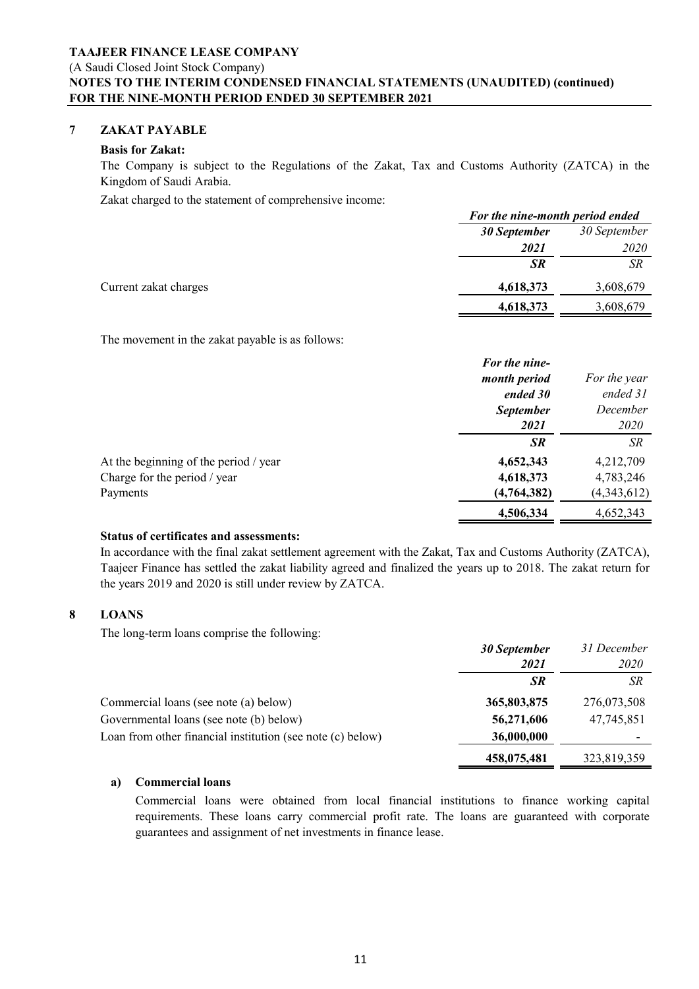(A Saudi Closed Joint Stock Company)

# **NOTES TO THE INTERIM CONDENSED FINANCIAL STATEMENTS (UNAUDITED) (continued) FOR THE NINE-MONTH PERIOD ENDED 30 SEPTEMBER 2021**

#### **7 ZAKAT PAYABLE**

### **Basis for Zakat:**

The Company is subject to the Regulations of the Zakat, Tax and Customs Authority (ZATCA) in the Kingdom of Saudi Arabia.

Zakat charged to the statement of comprehensive income:

|                       | For the nine-month period ended |              |
|-----------------------|---------------------------------|--------------|
|                       | <b>30 September</b>             | 30 September |
|                       | 2021                            | <i>2020</i>  |
|                       | <b>SR</b>                       | SR           |
| Current zakat charges | 4,618,373                       | 3,608,679    |
|                       | 4,618,373                       | 3,608,679    |

The movement in the zakat payable is as follows:

|                                       | For the nine-    |              |
|---------------------------------------|------------------|--------------|
|                                       | month period     | For the year |
|                                       | ended 30         | ended 31     |
|                                       | <b>September</b> | December     |
|                                       | 2021             | <i>2020</i>  |
|                                       | <b>SR</b>        | <b>SR</b>    |
| At the beginning of the period / year | 4,652,343        | 4,212,709    |
| Charge for the period / year          | 4,618,373        | 4,783,246    |
| Payments                              | (4,764,382)      | (4,343,612)  |
|                                       | 4,506,334        | 4,652,343    |

### **Status of certificates and assessments:**

In accordance with the final zakat settlement agreement with the Zakat, Tax and Customs Authority (ZATCA), Taajeer Finance has settled the zakat liability agreed and finalized the years up to 2018. The zakat return for the years 2019 and 2020 is still under review by ZATCA.

### **8 LOANS**

The long-term loans comprise the following:

|                                                            | <b>30 September</b> | 31 December |
|------------------------------------------------------------|---------------------|-------------|
|                                                            | 2021                | <i>2020</i> |
|                                                            | <b>SR</b>           | <b>SR</b>   |
| Commercial loans (see note (a) below)                      | 365,803,875         | 276,073,508 |
| Governmental loans (see note (b) below)                    | 56,271,606          | 47,745,851  |
| Loan from other financial institution (see note (c) below) | 36,000,000          |             |
|                                                            | 458,075,481         | 323,819,359 |

### **a) Commercial loans**

Commercial loans were obtained from local financial institutions to finance working capital requirements. These loans carry commercial profit rate. The loans are guaranteed with corporate guarantees and assignment of net investments in finance lease.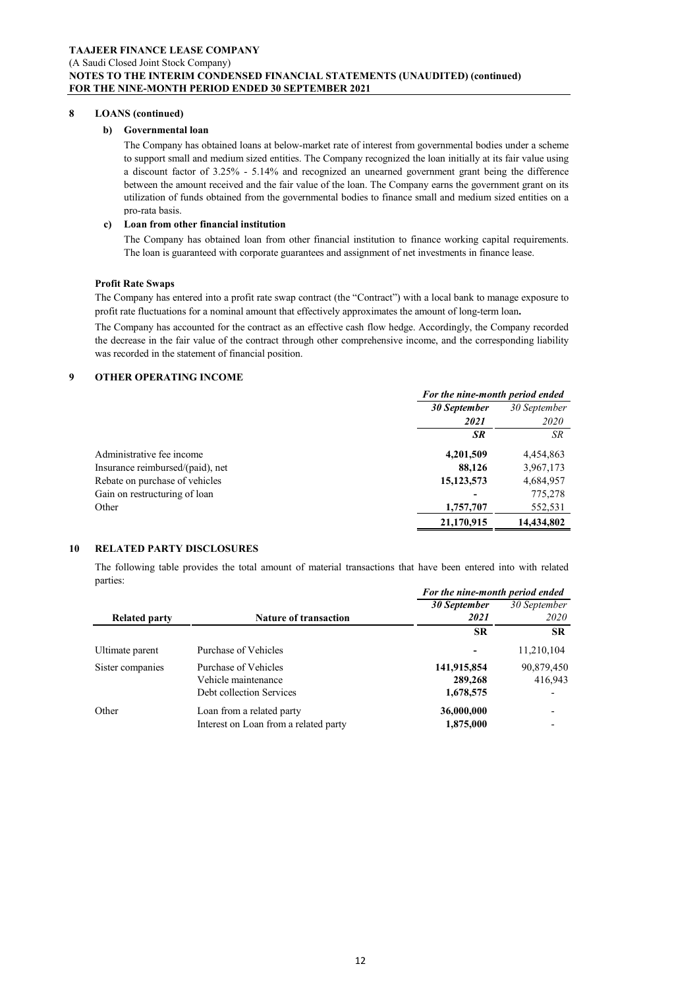#### **8 LOANS (continued)**

#### **b) Governmental loan**

The Company has obtained loans at below-market rate of interest from governmental bodies under a scheme to support small and medium sized entities. The Company recognized the loan initially at its fair value using a discount factor of 3.25% - 5.14% and recognized an unearned government grant being the difference between the amount received and the fair value of the loan. The Company earns the government grant on its utilization of funds obtained from the governmental bodies to finance small and medium sized entities on a pro-rata basis.

#### **c) Loan from other financial institution**

The Company has obtained loan from other financial institution to finance working capital requirements. The loan is guaranteed with corporate guarantees and assignment of net investments in finance lease.

#### **Profit Rate Swaps**

The Company has entered into a profit rate swap contract (the "Contract") with a local bank to manage exposure to profit rate fluctuations for a nominal amount that effectively approximates the amount of long-term loan**.**

The Company has accounted for the contract as an effective cash flow hedge. Accordingly, the Company recorded the decrease in the fair value of the contract through other comprehensive income, and the corresponding liability was recorded in the statement of financial position.

#### **9 OTHER OPERATING INCOME**

|                                  | For the nine-month period ended |              |
|----------------------------------|---------------------------------|--------------|
|                                  | 30 September                    | 30 September |
|                                  | 2021                            | <i>2020</i>  |
|                                  | SR                              | SR           |
| Administrative fee income        | 4,201,509                       | 4,454,863    |
| Insurance reimbursed/(paid), net | 88,126                          | 3,967,173    |
| Rebate on purchase of vehicles   | 15, 123, 573                    | 4,684,957    |
| Gain on restructuring of loan    |                                 | 775,278      |
| Other                            | 1,757,707                       | 552,531      |
|                                  | 21,170,915                      | 14,434,802   |

#### **10 RELATED PARTY DISCLOSURES**

The following table provides the total amount of material transactions that have been entered into with related parties:

|                      |                                       | For the nine-month period ended |              |
|----------------------|---------------------------------------|---------------------------------|--------------|
|                      |                                       | 30 September                    | 30 September |
| <b>Related party</b> | <b>Nature of transaction</b>          | 2021                            | <i>2020</i>  |
|                      |                                       | <b>SR</b>                       | <b>SR</b>    |
| Ultimate parent      | Purchase of Vehicles                  |                                 | 11,210,104   |
| Sister companies     | Purchase of Vehicles                  | 141,915,854                     | 90,879,450   |
|                      | Vehicle maintenance                   | 289,268                         | 416,943      |
|                      | Debt collection Services              | 1,678,575                       |              |
| Other                | Loan from a related party             | 36,000,000                      |              |
|                      | Interest on Loan from a related party | 1,875,000                       |              |